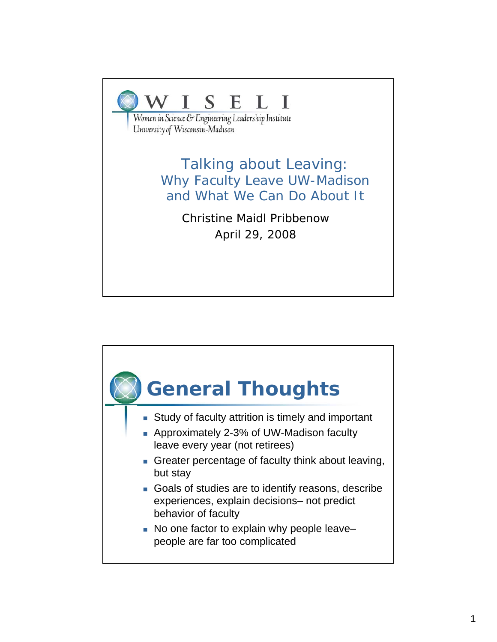

Women in Science & Engineering Leadership Institute University of Wisconsin-Madison

> Talking about Leaving: Why Faculty Leave UW-Madison and What We Can Do About It

> > Christine Maidl Pribbenow April 29, 2008

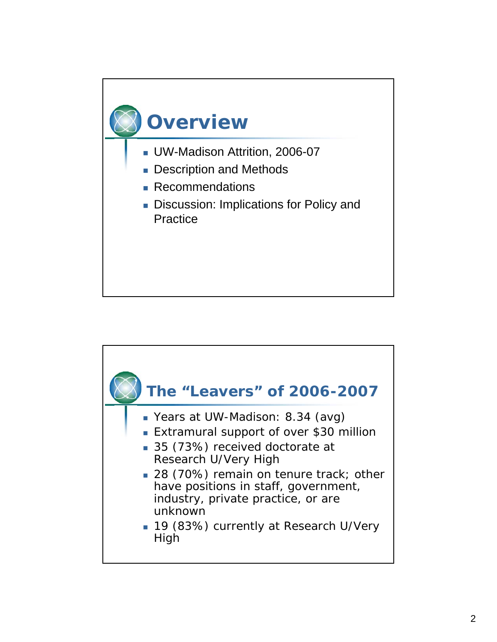

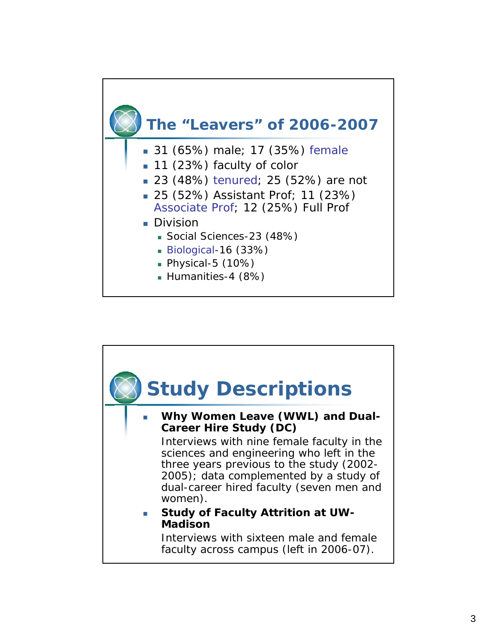

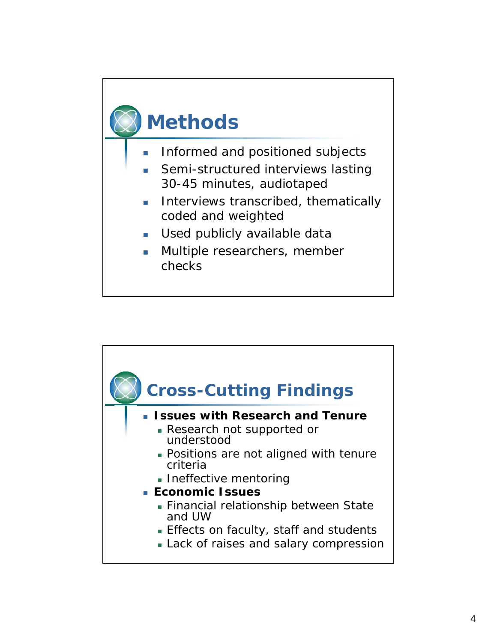# **Methods**

- **Informed and positioned subjects**
- Semi-structured interviews lasting 30-45 minutes, audiotaped
- **Interviews transcribed, thematically** coded and weighted
- **Used publicly available data**
- **Multiple researchers, member** checks

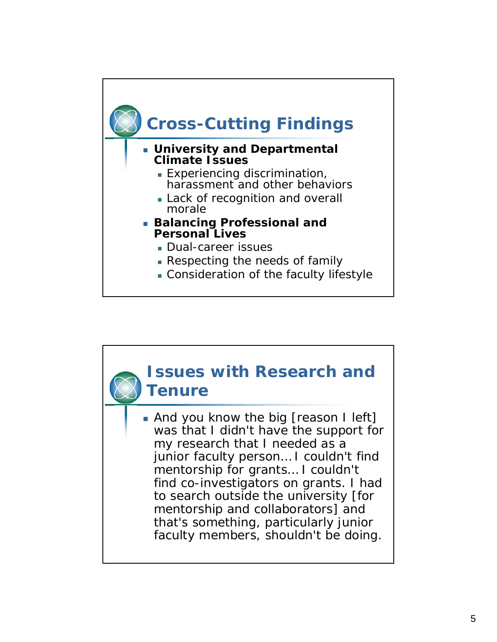

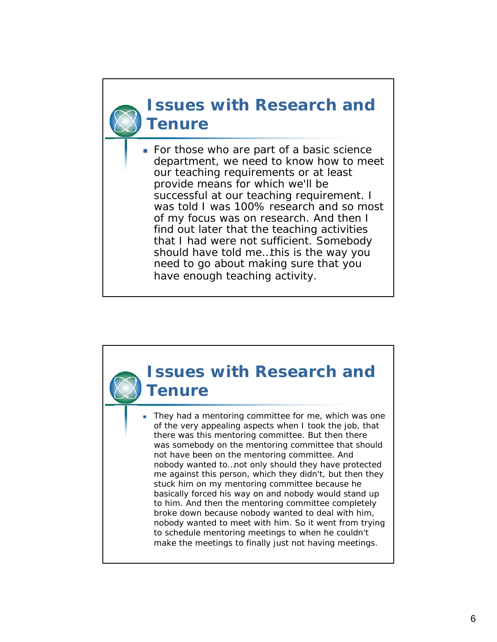#### **Issues with Research and Tenure**

 *For those who are part of a basic science department, we need to know how to meet our teaching requirements or at least provide means for which we'll be successful at our teaching requirement. I was told I was 100% research and so most of my focus was on research. And then I find out later that the teaching activities that I had were not sufficient. Somebody should have told me…this is the way you need to go about making sure that you have enough teaching activity.*

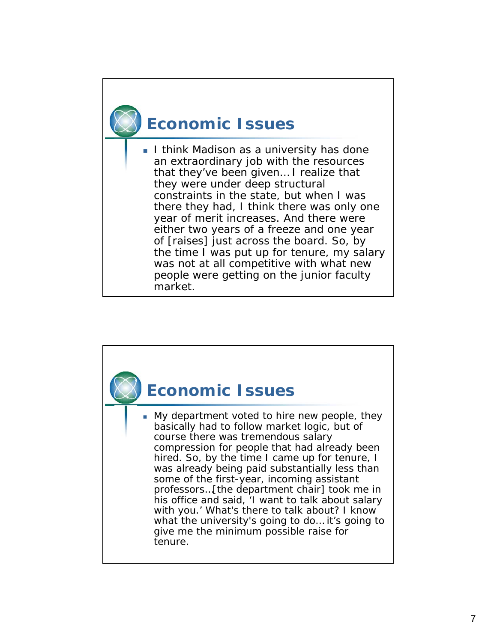## **Economic Issues**

 *I think Madison as a university has done an extraordinary job with the resources that they've been given… I realize that they were under deep structural constraints in the state, but when I was there they had, I think there was only one year of merit increases. And there were either two years of a freeze and one year of [raises] just across the board. So, by the time I was put up for tenure, my salary was not at all competitive with what new people were getting on the junior faculty market.*

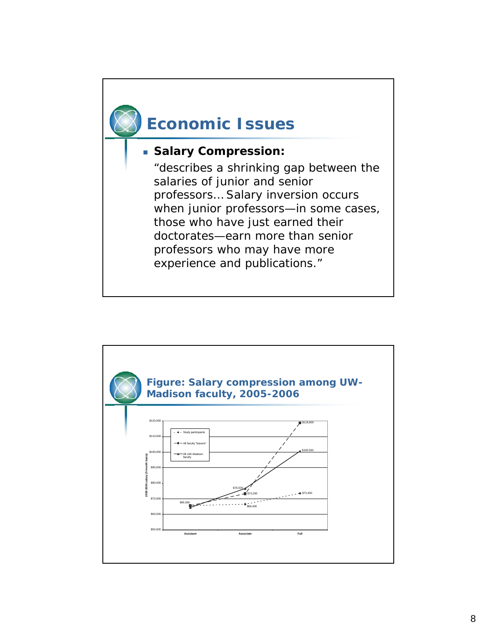

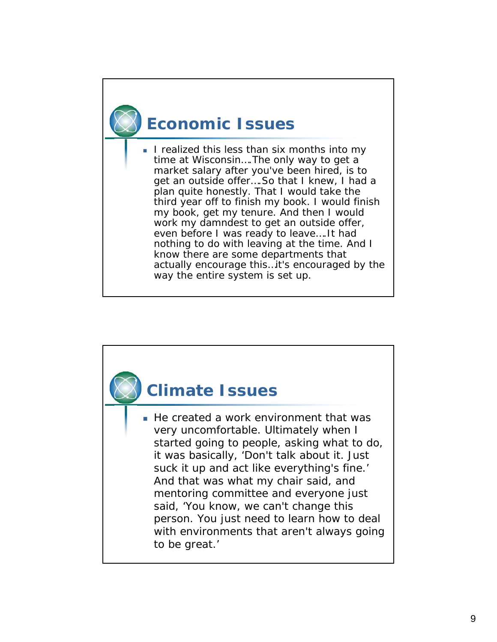## **Economic Issues**

 *I realized this less than six months into my time at Wisconsin….The only way to get a market salary after you've been hired, is to get an outside offer….So that I knew, I had a plan quite honestly. That I would take the third year off to finish my book. I would finish my book, get my tenure. And then I would work my damndest to get an outside offer, even before I was ready to leave….It had nothing to do with leaving at the time. And I know there are some departments that actually encourage this…it's encouraged by the way the entire system is set up.* 

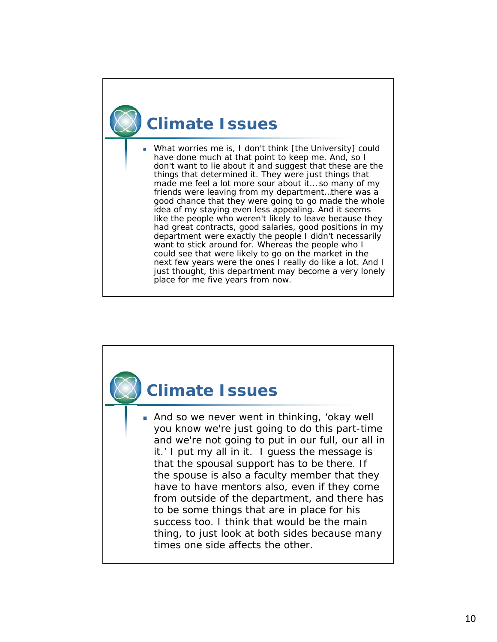## **Climate Issues**

 *What worries me is, I don't think [the University] could have done much at that point to keep me. And, so I don't want to lie about it and suggest that these are the things that determined it. They were just things that made me feel a lot more sour about it… so many of my friends were leaving from my department…there was a good chance that they were going to go made the whole idea of my staying even less appealing. And it seems like the people who weren't likely to leave because they had great contracts, good salaries, good positions in my department were exactly the people I didn't necessarily want to stick around for. Whereas the people who I could see that were likely to go on the market in the next few years were the ones I really do like a lot. And I just thought, this department may become a very lonely place for me five years from now.* 

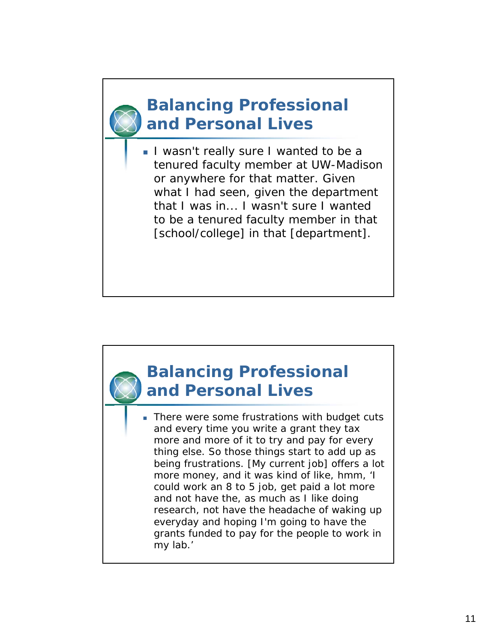#### **Balancing Professional and Personal Lives**

 *I wasn't really sure I wanted to be a tenured faculty member at UW-Madison or anywhere for that matter. Given what I had seen, given the department that I was in... I wasn't sure I wanted to be a tenured faculty member in that [school/college] in that [department].* 



*research, not have the headache of waking up everyday and hoping I'm going to have the grants funded to pay for the people to work in my lab.'*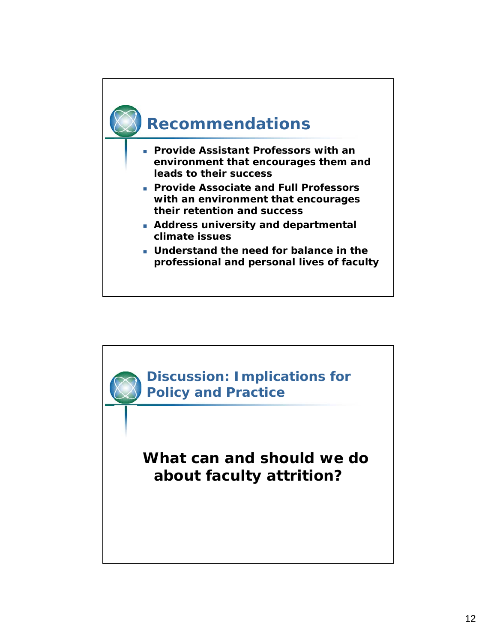